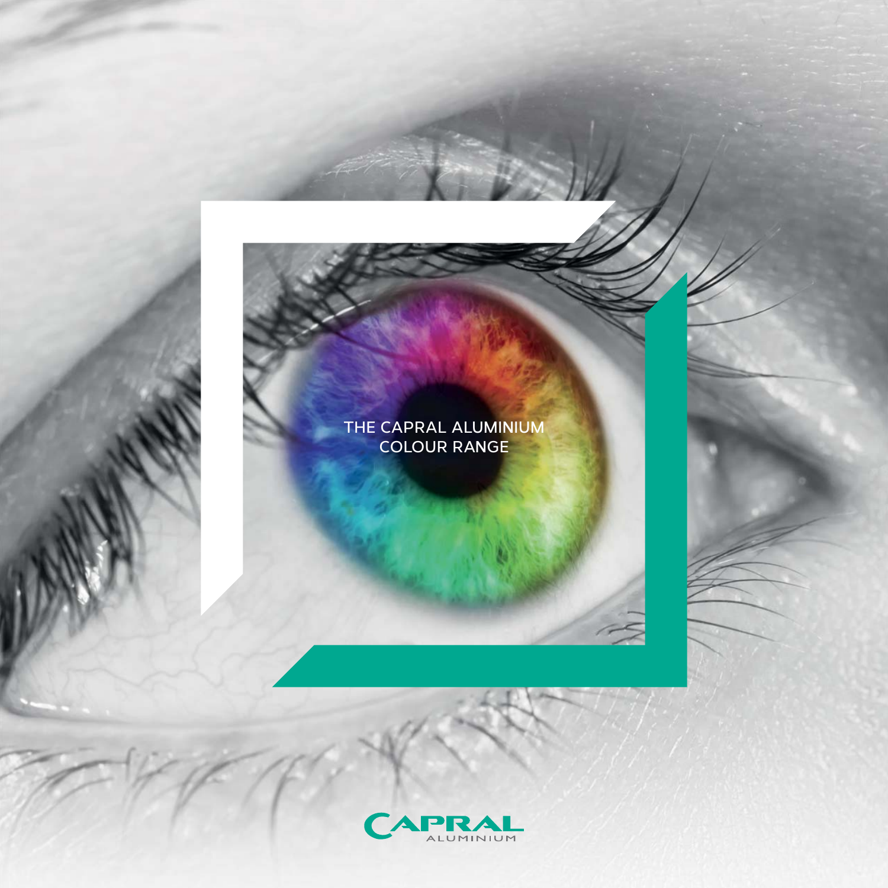## **THE CAPRAL ALUMINIUM COLOUR RANGE**

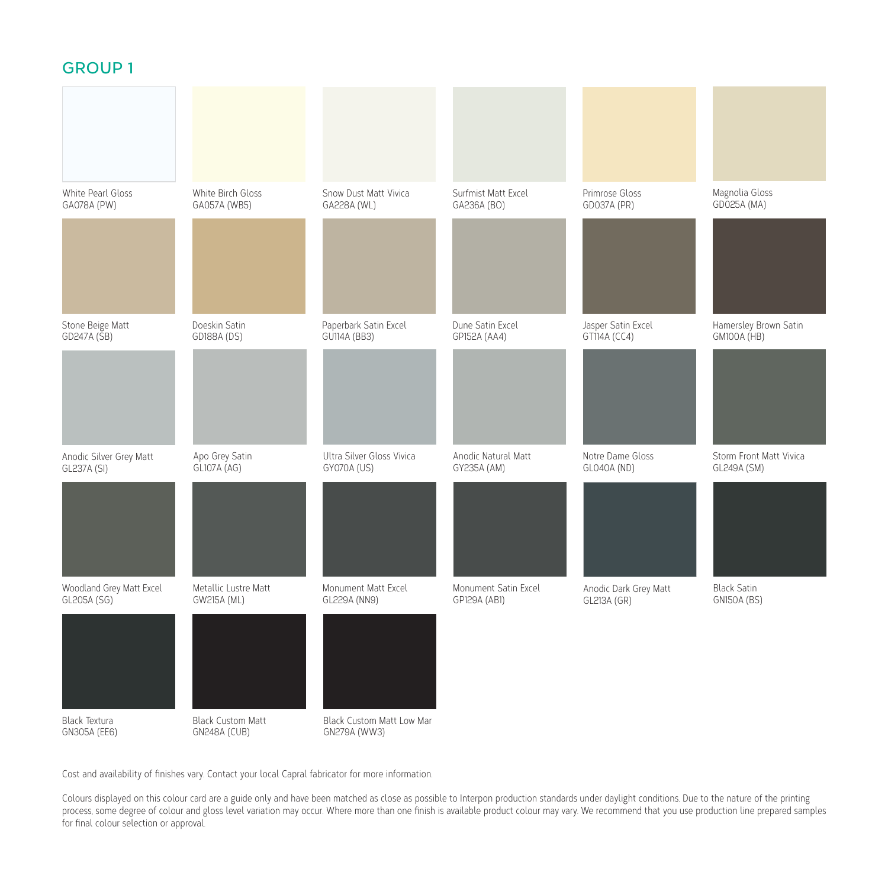### **GROUP 1**

| White Pearl Gloss<br>GA078A (PW)        | White Birch Gloss<br>GA057A (WB5)               | Snow Dust Matt Vivica<br>GA228A (WL)      | Surfmist Matt Excel<br>GA236A (BO)   | Primrose Gloss<br>GD037A (PR)        | Magnolia Gloss<br>GD025A (MA)               |
|-----------------------------------------|-------------------------------------------------|-------------------------------------------|--------------------------------------|--------------------------------------|---------------------------------------------|
|                                         |                                                 |                                           |                                      |                                      |                                             |
| Stone Beige Matt<br>GD247A (SB)         | Doeskin Satin<br>GD188A (DS)                    | Paperbark Satin Excel<br>GU114A (BB3)     | Dune Satin Excel<br>GP152A (AA4)     | Jasper Satin Excel<br>GT114A (CC4)   | Hamersley Brown Satin<br><b>GM100A</b> (HB) |
|                                         |                                                 |                                           |                                      |                                      |                                             |
| Anodic Silver Grey Matt<br>GL237A (SI)  | Apo Grey Satin<br>GL107A (AG)                   | Ultra Silver Gloss Vivica<br>GY070A (US)  | Anodic Natural Matt<br>GY235A (AM)   | Notre Dame Gloss<br>GL040A (ND)      | Storm Front Matt Vivica<br>GL249A (SM)      |
|                                         |                                                 |                                           |                                      |                                      |                                             |
| Woodland Grey Matt Excel<br>GL205A (SG) | Metallic Lustre Matt<br>GW215A (ML)             | Monument Matt Excel<br>GL229A (NN9)       | Monument Satin Excel<br>GP129A (AB1) | Anodic Dark Grey Matt<br>GL213A (GR) | <b>Black Satin</b><br><b>GN150A (BS)</b>    |
|                                         |                                                 |                                           |                                      |                                      |                                             |
| Black Textura<br>GN305A (EE6)           | <b>Black Custom Matt</b><br><b>GN248A (CUB)</b> | Black Custom Matt Low Mar<br>GN279A (WW3) |                                      |                                      |                                             |

Cost and availability of finishes vary. Contact your local Capral fabricator for more information.

Colours displayed on this colour card are a guide only and have been matched as close as possible to Interpon production standards under daylight conditions. Due to the nature of the printing process, some degree of colour and gloss level variation may occur. Where more than one finish is available product colour may vary. We recommend that you use production line prepared samples for final colour selection or approval.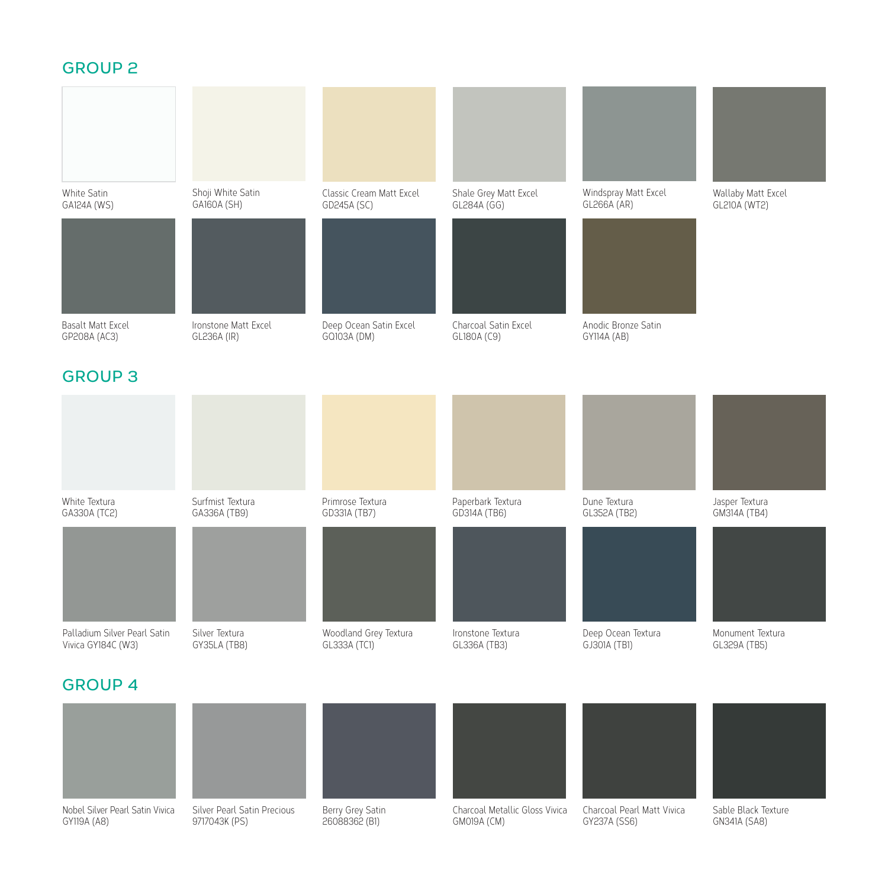### **GROUP 2**



### **GROUP 4**



26088362 (B1)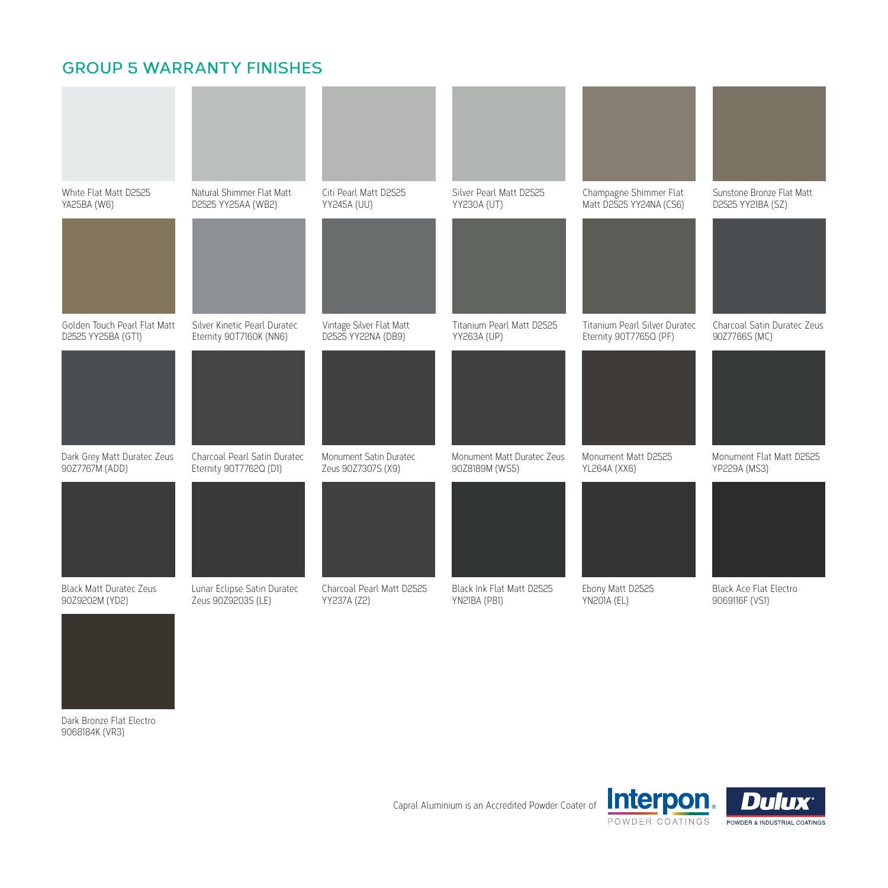### **GROUP 5 WARRANTY FINISHES**





Dark Bronze Flat Electro 9068184K (VR3)

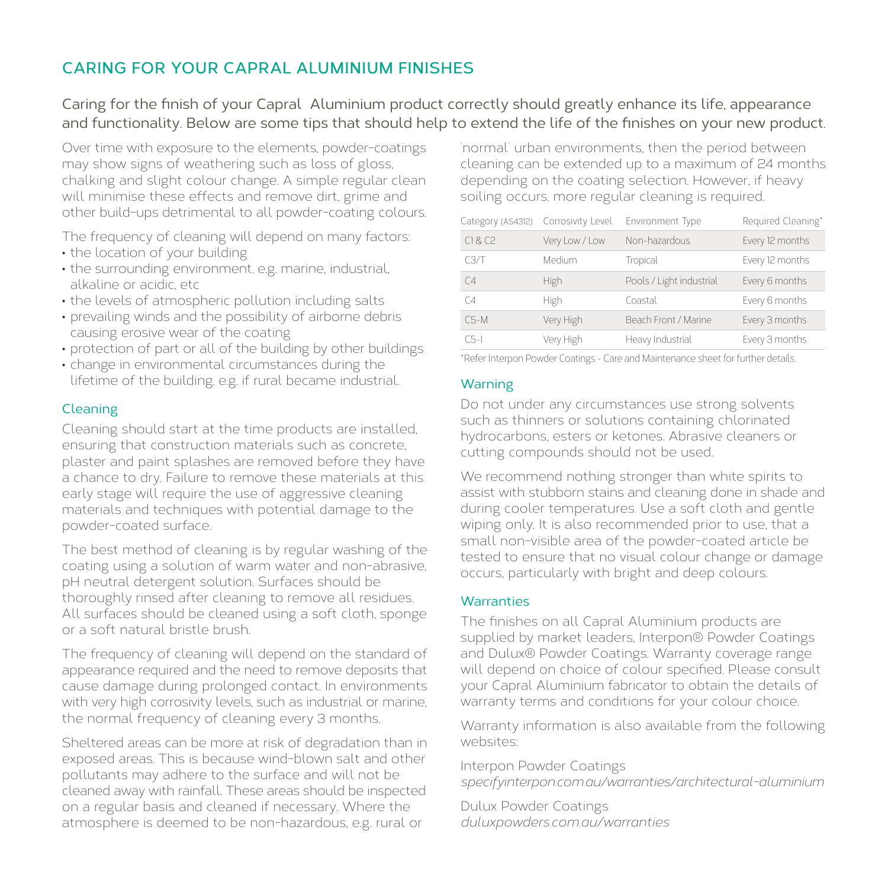# **CARING FOR YOUR CAPRAL ALUMINIUM FINISHES**

Caring for the finish of your Capral Aluminium product correctly should greatly enhance its life, appearance and functionality. Below are some tips that should help to extend the life of the finishes on your new product.

Over time with exposure to the elements, powder-coatings may show signs of weathering such as loss of gloss, chalking and slight colour change. A simple regular clean will minimise these effects and remove dirt, grime and other build-ups detrimental to all powder-coating colours.

The frequency of cleaning will depend on many factors:

- the location of your building
- the surrounding environment, e.g. marine, industrial, alkaline or acidic, etc
- the levels of atmospheric pollution including salts
- prevailing winds and the possibility of airborne debris causing erosive wear of the coating
- protection of part or all of the building by other buildings
- change in environmental circumstances during the lifetime of the building, e.g. if rural became industrial.

#### Cleaning

Cleaning should start at the time products are installed, ensuring that construction materials such as concrete, plaster and paint splashes are removed before they have a chance to dry. Failure to remove these materials at this early stage will require the use of aggressive cleaning materials and techniques with potential damage to the powder-coated surface.

The best method of cleaning is by regular washing of the coating using a solution of warm water and non-abrasive, pH neutral detergent solution. Surfaces should be thoroughly rinsed after cleaning to remove all residues. All surfaces should be cleaned using a soft cloth, sponge or a soft natural bristle brush.

The frequency of cleaning will depend on the standard of appearance required and the need to remove deposits that cause damage during prolonged contact. In environments with very high corrosivity levels, such as industrial or marine, the normal frequency of cleaning every 3 months.

Sheltered areas can be more at risk of degradation than in exposed areas. This is because wind-blown salt and other pollutants may adhere to the surface and will not be cleaned away with rainfall. These areas should be inspected on a regular basis and cleaned if necessary. Where the atmosphere is deemed to be non-hazardous, e.g. rural or

'normal' urban environments, then the period between cleaning can be extended up to a maximum of 24 months depending on the coating selection. However, if heavy soiling occurs, more regular cleaning is required.

| Category (AS4312) | Corrosivity Level | Environment Type         | Required Cleaning* |
|-------------------|-------------------|--------------------------|--------------------|
| C1 & C2           | Very Low / Low    | Non-hazardous            | Every 12 months    |
| C3/T              | Medium            | Tropical                 | Every 12 months    |
| C <sub>4</sub>    | High              | Pools / Light industrial | Every 6 months     |
| $C_4$             | High              | Coastal                  | Every 6 months     |
| $C5-M$            | Very High         | Beach Front / Marine     | Every 3 months     |
| $CS-I$            | Very High         | Heavy Industrial         | Every 3 months     |

\*Refer Interpon Powder Coatings - Care and Maintenance sheet for further details.

#### Warning

Do not under any circumstances use strong solvents such as thinners or solutions containing chlorinated hydrocarbons, esters or ketones. Abrasive cleaners or cutting compounds should not be used.

We recommend nothing stronger than white spirits to assist with stubborn stains and cleaning done in shade and during cooler temperatures. Use a soft cloth and gentle wiping only. It is also recommended prior to use, that a small non-visible area of the powder-coated article be tested to ensure that no visual colour change or damage occurs, particularly with bright and deep colours.

#### **Warranties**

The finishes on all Capral Aluminium products are supplied by market leaders, Interpon® Powder Coatings and Dulux® Powder Coatings. Warranty coverage range will depend on choice of colour specified. Please consult your Capral Aluminium fabricator to obtain the details of warranty terms and conditions for your colour choice.

Warranty information is also available from the following websites:

Interpon Powder Coatings *specifyinterpon.com.au/warranties/architectural-aluminium*

Dulux Powder Coatings *duluxpowders.com.au/warranties*